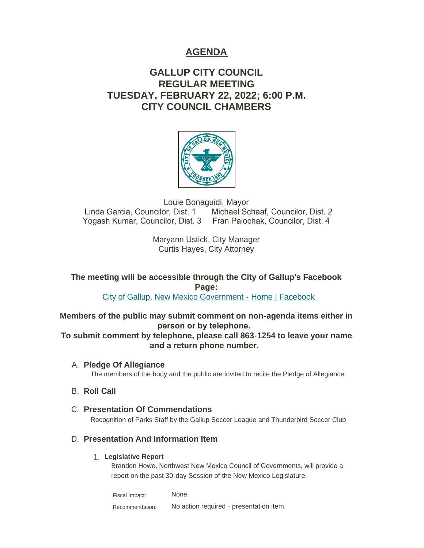# **AGENDA**

# **GALLUP CITY COUNCIL REGULAR MEETING TUESDAY, FEBRUARY 22, 2022; 6:00 P.M. CITY COUNCIL CHAMBERS**



Louie Bonaguidi, Mayor Linda Garcia, Councilor, Dist. 1 Michael Schaaf, Councilor, Dist. 2 Yogash Kumar, Councilor, Dist. 3 Fran Palochak, Councilor, Dist. 4

> Maryann Ustick, City Manager Curtis Hayes, City Attorney

**The meeting will be accessible through the City of Gallup's Facebook Page:**

[City of Gallup, New Mexico Government - Home | Facebook](https://www.facebook.com/CityOfGallup)

**Members of the public may submit comment on non-agenda items either in person or by telephone.** 

**To submit comment by telephone, please call 863-1254 to leave your name and a return phone number.** 

**Pledge Of Allegiance** A. The members of the body and the public are invited to recite the Pledge of Allegiance.

# **B.** Roll Call

**Presentation Of Commendations** C. Recognition of Parks Staff by the Gallup Soccer League and Thunderbird Soccer Club

## **Presentation And Information Item** D.

## **Legislative Report** 1.

Brandon Howe, Northwest New Mexico Council of Governments, will provide a report on the past 30-day Session of the New Mexico Legislature.

None. No action required - presentation item. Fiscal Impact: Recommendation: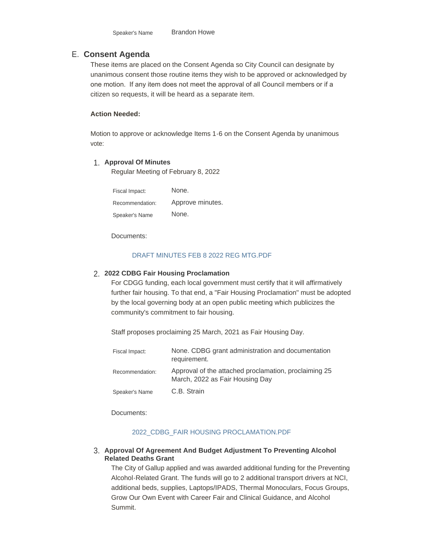# **Consent Agenda** E.

These items are placed on the Consent Agenda so City Council can designate by unanimous consent those routine items they wish to be approved or acknowledged by one motion. If any item does not meet the approval of all Council members or if a citizen so requests, it will be heard as a separate item.

#### **Action Needed:**

Motion to approve or acknowledge Items 1-6 on the Consent Agenda by unanimous vote:

# **Approval Of Minutes** 1.

Regular Meeting of February 8, 2022

| Fiscal Impact:  | None.            |
|-----------------|------------------|
| Recommendation: | Approve minutes. |
| Speaker's Name  | None.            |

Documents:

### [DRAFT MINUTES FEB 8 2022 REG MTG.PDF](https://www.gallupnm.gov/AgendaCenter/ViewFile/Item/2835?fileID=12445)

# **2022 CDBG Fair Housing Proclamation** 2.

For CDGG funding, each local government must certify that it will affirmatively further fair housing. To that end, a "Fair Housing Proclamation" must be adopted by the local governing body at an open public meeting which publicizes the community's commitment to fair housing.

Staff proposes proclaiming 25 March, 2021 as Fair Housing Day.

| Fiscal Impact:  | None. CDBG grant administration and documentation<br>requirement.                        |
|-----------------|------------------------------------------------------------------------------------------|
| Recommendation: | Approval of the attached proclamation, proclaiming 25<br>March, 2022 as Fair Housing Day |
| Speaker's Name  | C.B. Strain                                                                              |

Documents:

#### [2022\\_CDBG\\_FAIR HOUSING PROCLAMATION.PDF](https://www.gallupnm.gov/AgendaCenter/ViewFile/Item/2828?fileID=12441)

#### **Approval Of Agreement And Budget Adjustment To Preventing Alcohol**  3. **Related Deaths Grant**

The City of Gallup applied and was awarded additional funding for the Preventing Alcohol-Related Grant. The funds will go to 2 additional transport drivers at NCI, additional beds, supplies, Laptops/IPADS, Thermal Monoculars, Focus Groups, Grow Our Own Event with Career Fair and Clinical Guidance, and Alcohol Summit.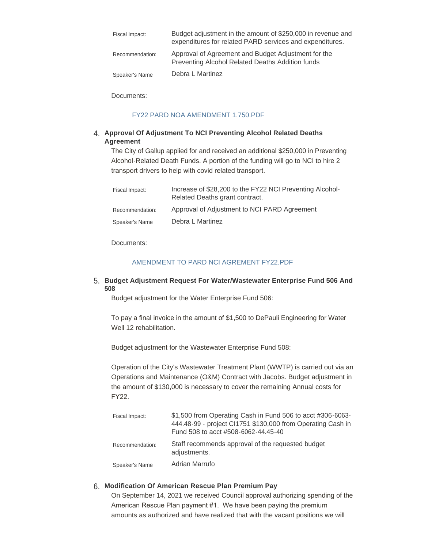| Fiscal Impact:  | Budget adjustment in the amount of \$250,000 in revenue and<br>expenditures for related PARD services and expenditures. |
|-----------------|-------------------------------------------------------------------------------------------------------------------------|
| Recommendation: | Approval of Agreement and Budget Adjustment for the<br>Preventing Alcohol Related Deaths Addition funds                 |
| Speaker's Name  | Debra L Martinez                                                                                                        |

Documents:

#### [FY22 PARD NOA AMENDMENT 1.750.PDF](https://www.gallupnm.gov/AgendaCenter/ViewFile/Item/2830?fileID=12443)

### **Approval Of Adjustment To NCI Preventing Alcohol Related Deaths**  4. **Agreement**

The City of Gallup applied for and received an additional \$250,000 in Preventing Alcohol-Related Death Funds. A portion of the funding will go to NCI to hire 2 transport drivers to help with covid related transport.

| Fiscal Impact:  | Increase of \$28,200 to the FY22 NCI Preventing Alcohol-<br>Related Deaths grant contract. |
|-----------------|--------------------------------------------------------------------------------------------|
| Recommendation: | Approval of Adjustment to NCI PARD Agreement                                               |
| Speaker's Name  | Debra L Martinez                                                                           |

Documents:

#### [AMENDMENT TO PARD NCI AGREMENT FY22.PDF](https://www.gallupnm.gov/AgendaCenter/ViewFile/Item/2832?fileID=12444)

#### **Budget Adjustment Request For Water/Wastewater Enterprise Fund 506 And**  5. **508**

Budget adjustment for the Water Enterprise Fund 506:

To pay a final invoice in the amount of \$1,500 to DePauli Engineering for Water Well 12 rehabilitation.

Budget adjustment for the Wastewater Enterprise Fund 508:

Operation of the City's Wastewater Treatment Plant (WWTP) is carried out via an Operations and Maintenance (O&M) Contract with Jacobs. Budget adjustment in the amount of \$130,000 is necessary to cover the remaining Annual costs for FY22.

| Fiscal Impact:  | \$1,500 from Operating Cash in Fund 506 to acct #306-6063-<br>444.48-99 - project Cl1751 \$130,000 from Operating Cash in<br>Fund 508 to acct #508-6062-44.45-40 |
|-----------------|------------------------------------------------------------------------------------------------------------------------------------------------------------------|
| Recommendation: | Staff recommends approval of the requested budget<br>adjustments.                                                                                                |
| Speaker's Name  | Adrian Marrufo                                                                                                                                                   |

### **Modification Of American Rescue Plan Premium Pay** 6.

On September 14, 2021 we received Council approval authorizing spending of the American Rescue Plan payment #1. We have been paying the premium amounts as authorized and have realized that with the vacant positions we will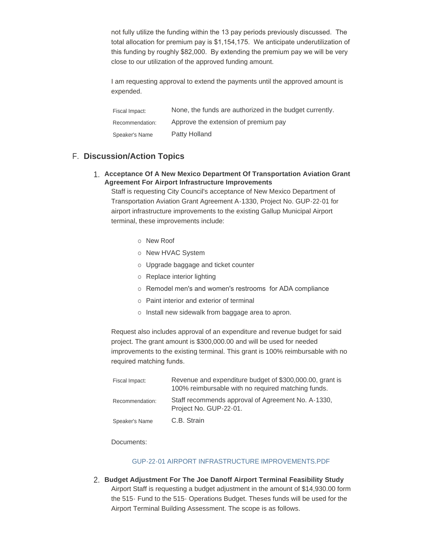not fully utilize the funding within the 13 pay periods previously discussed. The total allocation for premium pay is \$1,154,175. We anticipate underutilization of this funding by roughly \$82,000. By extending the premium pay we will be very close to our utilization of the approved funding amount.

I am requesting approval to extend the payments until the approved amount is expended.

| Fiscal Impact:  | None, the funds are authorized in the budget currently. |
|-----------------|---------------------------------------------------------|
| Recommendation: | Approve the extension of premium pay                    |
| Speaker's Name  | Patty Holland                                           |

# **Discussion/Action Topics** F.

**Acceptance Of A New Mexico Department Of Transportation Aviation Grant**  1. **Agreement For Airport Infrastructure Improvements**

Staff is requesting City Council's acceptance of New Mexico Department of Transportation Aviation Grant Agreement A-1330, Project No. GUP-22-01 for airport infrastructure improvements to the existing Gallup Municipal Airport terminal, these improvements include:

- o New Roof
- o New HVAC System
- o Upgrade baggage and ticket counter
- o Replace interior lighting
- o Remodel men's and women's restrooms for ADA compliance
- o Paint interior and exterior of terminal
- o Install new sidewalk from baggage area to apron.

Request also includes approval of an expenditure and revenue budget for said project. The grant amount is \$300,000.00 and will be used for needed improvements to the existing terminal. This grant is 100% reimbursable with no required matching funds.

| Fiscal Impact:  | Revenue and expenditure budget of \$300,000.00, grant is<br>100% reimbursable with no required matching funds. |
|-----------------|----------------------------------------------------------------------------------------------------------------|
| Recommendation: | Staff recommends approval of Agreement No. A-1330,<br>Project No. GUP-22-01.                                   |
| Speaker's Name  | C.B. Strain                                                                                                    |

Documents:

#### [GUP-22-01 AIRPORT INFRASTRUCTURE IMPROVEMENTS.PDF](https://www.gallupnm.gov/AgendaCenter/ViewFile/Item/2827?fileID=12440)

**Budget Adjustment For The Joe Danoff Airport Terminal Feasibility Study** 2. Airport Staff is requesting a budget adjustment in the amount of \$14,930.00 form the 515- Fund to the 515- Operations Budget. Theses funds will be used for the Airport Terminal Building Assessment. The scope is as follows.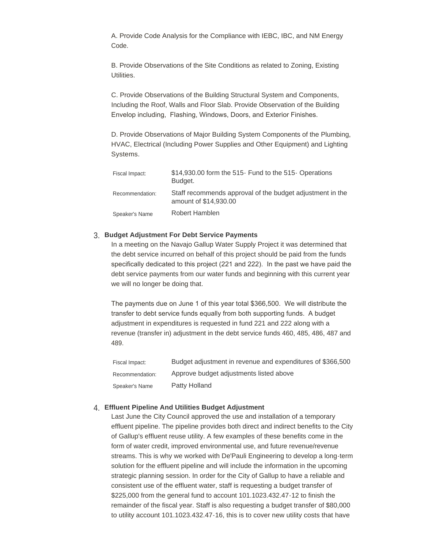A. Provide Code Analysis for the Compliance with IEBC, IBC, and NM Energy Code.

B. Provide Observations of the Site Conditions as related to Zoning, Existing Utilities.

C. Provide Observations of the Building Structural System and Components, Including the Roof, Walls and Floor Slab. Provide Observation of the Building Envelop including, Flashing, Windows, Doors, and Exterior Finishes.

D. Provide Observations of Major Building System Components of the Plumbing, HVAC, Electrical (Including Power Supplies and Other Equipment) and Lighting Systems.

| Fiscal Impact:  | \$14,930.00 form the 515 Fund to the 515 Operations<br>Budget.                     |
|-----------------|------------------------------------------------------------------------------------|
| Recommendation: | Staff recommends approval of the budget adjustment in the<br>amount of \$14,930.00 |
| Speaker's Name  | Robert Hamblen                                                                     |

### **Budget Adjustment For Debt Service Payments** 3.

In a meeting on the Navajo Gallup Water Supply Project it was determined that the debt service incurred on behalf of this project should be paid from the funds specifically dedicated to this project (221 and 222). In the past we have paid the debt service payments from our water funds and beginning with this current year we will no longer be doing that.

The payments due on June 1 of this year total \$366,500. We will distribute the transfer to debt service funds equally from both supporting funds. A budget adjustment in expenditures is requested in fund 221 and 222 along with a revenue (transfer in) adjustment in the debt service funds 460, 485, 486, 487 and 489.

| Fiscal Impact:  | Budget adjustment in revenue and expenditures of \$366,500 |
|-----------------|------------------------------------------------------------|
| Recommendation: | Approve budget adjustments listed above                    |
| Speaker's Name  | Patty Holland                                              |

### **Effluent Pipeline And Utilities Budget Adjustment** 4.

Last June the City Council approved the use and installation of a temporary effluent pipeline. The pipeline provides both direct and indirect benefits to the City of Gallup's effluent reuse utility. A few examples of these benefits come in the form of water credit, improved environmental use, and future revenue/revenue streams. This is why we worked with De'Pauli Engineering to develop a long-term solution for the effluent pipeline and will include the information in the upcoming strategic planning session. In order for the City of Gallup to have a reliable and consistent use of the effluent water, staff is requesting a budget transfer of \$225,000 from the general fund to account 101.1023.432.47-12 to finish the remainder of the fiscal year. Staff is also requesting a budget transfer of \$80,000 to utility account 101.1023.432.47-16, this is to cover new utility costs that have